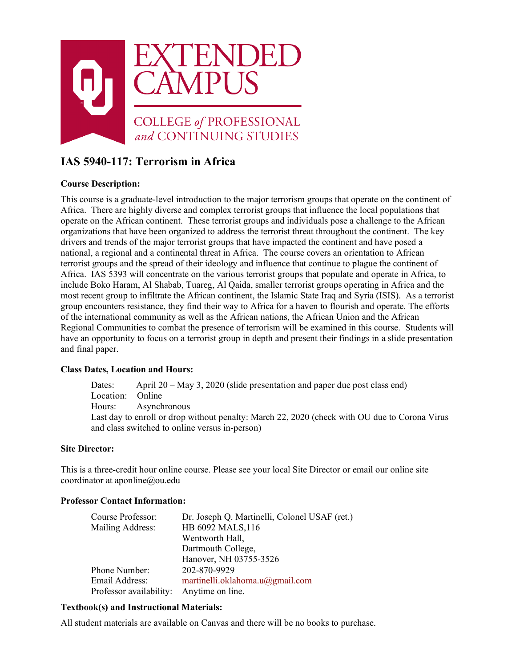

# **IAS 5940-117: Terrorism in Africa**

# **Course Description:**

This course is a graduate-level introduction to the major terrorism groups that operate on the continent of Africa. There are highly diverse and complex terrorist groups that influence the local populations that operate on the African continent. These terrorist groups and individuals pose a challenge to the African organizations that have been organized to address the terrorist threat throughout the continent. The key drivers and trends of the major terrorist groups that have impacted the continent and have posed a national, a regional and a continental threat in Africa. The course covers an orientation to African terrorist groups and the spread of their ideology and influence that continue to plague the continent of Africa. IAS 5393 will concentrate on the various terrorist groups that populate and operate in Africa, to include Boko Haram, Al Shabab, Tuareg, Al Qaida, smaller terrorist groups operating in Africa and the most recent group to infiltrate the African continent, the Islamic State Iraq and Syria (ISIS). As a terrorist group encounters resistance, they find their way to Africa for a haven to flourish and operate. The efforts of the international community as well as the African nations, the African Union and the African Regional Communities to combat the presence of terrorism will be examined in this course. Students will have an opportunity to focus on a terrorist group in depth and present their findings in a slide presentation and final paper.

### **Class Dates, Location and Hours:**

Dates: April 20 – May 3, 2020 (slide presentation and paper due post class end) Location: Online Hours: Asynchronous Last day to enroll or drop without penalty: March 22, 2020 (check with OU due to Corona Virus and class switched to online versus in-person)

### **Site Director:**

This is a three-credit hour online course. Please see your local Site Director or email our online site coordinator at aponline@ou.edu

### **Professor Contact Information:**

| Course Professor:       | Dr. Joseph Q. Martinelli, Colonel USAF (ret.) |
|-------------------------|-----------------------------------------------|
| Mailing Address:        | HB 6092 MALS, 116                             |
|                         | Wentworth Hall,                               |
|                         | Dartmouth College,                            |
|                         | Hanover, NH 03755-3526                        |
| Phone Number:           | 202-870-9929                                  |
| Email Address:          | martinelli.oklahoma.u@gmail.com               |
| Professor availability: | Anytime on line.                              |

# **Textbook(s) and Instructional Materials:**

All student materials are available on Canvas and there will be no books to purchase.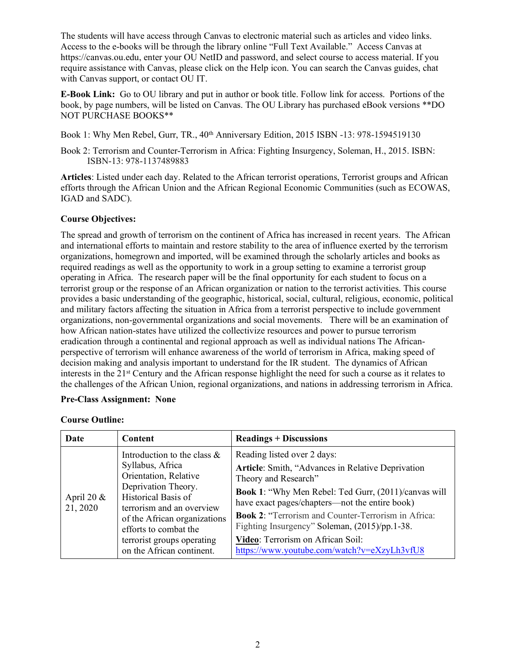The students will have access through Canvas to electronic material such as articles and video links. Access to the e-books will be through the library online "Full Text Available." Access Canvas at https://canvas.ou.edu, enter your OU NetID and password, and select course to access material. If you require assistance with Canvas, please click on the Help icon. You can search the Canvas guides, chat with Canvas support, or contact OU IT.

**E-Book Link:** Go to OU library and put in author or book title. Follow link for access. Portions of the book, by page numbers, will be listed on Canvas. The OU Library has purchased eBook versions \*\*DO NOT PURCHASE BOOKS\*\*

Book 1: Why Men Rebel, Gurr, TR., 40<sup>th</sup> Anniversary Edition, 2015 ISBN -13: 978-1594519130

Book 2: Terrorism and Counter-Terrorism in Africa: Fighting Insurgency, Soleman, H., 2015. ISBN: ISBN-13: 978-1137489883

**Articles**: Listed under each day. Related to the African terrorist operations, Terrorist groups and African efforts through the African Union and the African Regional Economic Communities (such as ECOWAS, IGAD and SADC).

# **Course Objectives:**

The spread and growth of terrorism on the continent of Africa has increased in recent years. The African and international efforts to maintain and restore stability to the area of influence exerted by the terrorism organizations, homegrown and imported, will be examined through the scholarly articles and books as required readings as well as the opportunity to work in a group setting to examine a terrorist group operating in Africa. The research paper will be the final opportunity for each student to focus on a terrorist group or the response of an African organization or nation to the terrorist activities. This course provides a basic understanding of the geographic, historical, social, cultural, religious, economic, political and military factors affecting the situation in Africa from a terrorist perspective to include government organizations, non-governmental organizations and social movements. There will be an examination of how African nation-states have utilized the collectivize resources and power to pursue terrorism eradication through a continental and regional approach as well as individual nations The Africanperspective of terrorism will enhance awareness of the world of terrorism in Africa, making speed of decision making and analysis important to understand for the IR student. The dynamics of African interests in the 21st Century and the African response highlight the need for such a course as it relates to the challenges of the African Union, regional organizations, and nations in addressing terrorism in Africa.

### **Pre-Class Assignment: None**

| Date                      | Content                                                                                                                                                                                                                                                                    | <b>Readings + Discussions</b>                                                                                                                                                                                                                                                                                                                                                                                         |
|---------------------------|----------------------------------------------------------------------------------------------------------------------------------------------------------------------------------------------------------------------------------------------------------------------------|-----------------------------------------------------------------------------------------------------------------------------------------------------------------------------------------------------------------------------------------------------------------------------------------------------------------------------------------------------------------------------------------------------------------------|
| April 20 $\&$<br>21, 2020 | Introduction to the class $\&$<br>Syllabus, Africa<br>Orientation, Relative<br>Deprivation Theory.<br>Historical Basis of<br>terrorism and an overview<br>of the African organizations<br>efforts to combat the<br>terrorist groups operating<br>on the African continent. | Reading listed over 2 days:<br>Article: Smith, "Advances in Relative Deprivation<br>Theory and Research"<br>Book 1: "Why Men Rebel: Ted Gurr, (2011)/canvas will<br>have exact pages/chapters—not the entire book)<br><b>Book 2: "Terrorism and Counter-Terrorism in Africa:</b><br>Fighting Insurgency" Soleman, (2015)/pp.1-38.<br>Video: Terrorism on African Soil:<br>https://www.youtube.com/watch?v=eXzyLh3vfU8 |

#### **Course Outline:**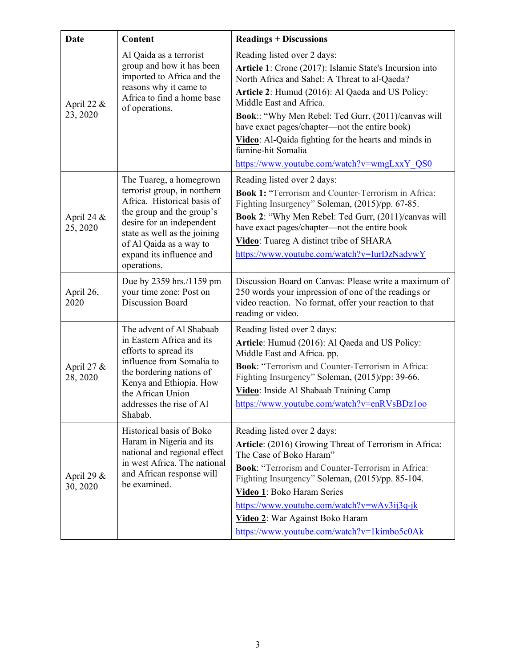| <b>Date</b>               | Content                                                                                                                                                                                                                                                | <b>Readings + Discussions</b>                                                                                                                                                                                                                                                                                                                                                                                                                               |
|---------------------------|--------------------------------------------------------------------------------------------------------------------------------------------------------------------------------------------------------------------------------------------------------|-------------------------------------------------------------------------------------------------------------------------------------------------------------------------------------------------------------------------------------------------------------------------------------------------------------------------------------------------------------------------------------------------------------------------------------------------------------|
| April 22 $\&$<br>23, 2020 | Al Qaida as a terrorist<br>group and how it has been<br>imported to Africa and the<br>reasons why it came to<br>Africa to find a home base<br>of operations.                                                                                           | Reading listed over 2 days:<br>Article 1: Crone (2017): Islamic State's Incursion into<br>North Africa and Sahel: A Threat to al-Qaeda?<br>Article 2: Humud (2016): Al Qaeda and US Policy:<br>Middle East and Africa.<br>Book:: "Why Men Rebel: Ted Gurr, (2011)/canvas will<br>have exact pages/chapter—not the entire book)<br>Video: Al-Qaida fighting for the hearts and minds in<br>famine-hit Somalia<br>https://www.youtube.com/watch?v=wmgLxxY_QS0 |
| April 24 $\&$<br>25, 2020 | The Tuareg, a homegrown<br>terrorist group, in northern<br>Africa. Historical basis of<br>the group and the group's<br>desire for an independent<br>state as well as the joining<br>of Al Qaida as a way to<br>expand its influence and<br>operations. | Reading listed over 2 days:<br><b>Book 1: "Terrorism and Counter-Terrorism in Africa:</b><br>Fighting Insurgency" Soleman, (2015)/pp. 67-85.<br>Book 2: "Why Men Rebel: Ted Gurr, (2011)/canvas will<br>have exact pages/chapter-not the entire book<br>Video: Tuareg A distinct tribe of SHARA<br>https://www.youtube.com/watch?v=IurDzNadywY                                                                                                              |
| April 26,<br>2020         | Due by 2359 hrs./1159 pm<br>your time zone: Post on<br><b>Discussion Board</b>                                                                                                                                                                         | Discussion Board on Canvas: Please write a maximum of<br>250 words your impression of one of the readings or<br>video reaction. No format, offer your reaction to that<br>reading or video.                                                                                                                                                                                                                                                                 |
| April 27 &<br>28, 2020    | The advent of Al Shabaab<br>in Eastern Africa and its<br>efforts to spread its<br>influence from Somalia to<br>the bordering nations of<br>Kenya and Ethiopia. How<br>the African Union<br>addresses the rise of Al<br>Shabab.                         | Reading listed over 2 days:<br>Article: Humud (2016): Al Qaeda and US Policy:<br>Middle East and Africa. pp.<br><b>Book:</b> "Terrorism and Counter-Terrorism in Africa:<br>Fighting Insurgency" Soleman, (2015)/pp: 39-66.<br>Video: Inside Al Shabaab Training Camp<br>https://www.youtube.com/watch?v=enRVsBDz1oo                                                                                                                                        |
| April 29 $&$<br>30, 2020  | Historical basis of Boko<br>Haram in Nigeria and its<br>national and regional effect<br>in west Africa. The national<br>and African response will<br>be examined.                                                                                      | Reading listed over 2 days:<br>Article: (2016) Growing Threat of Terrorism in Africa:<br>The Case of Boko Haram"<br><b>Book:</b> "Terrorism and Counter-Terrorism in Africa:<br>Fighting Insurgency" Soleman, (2015)/pp. 85-104.<br>Video 1: Boko Haram Series<br>https://www.youtube.com/watch?v=wAv3ij3q-jk<br>Video 2: War Against Boko Haram<br>https://www.youtube.com/watch?v=1kimbo5c0Ak                                                             |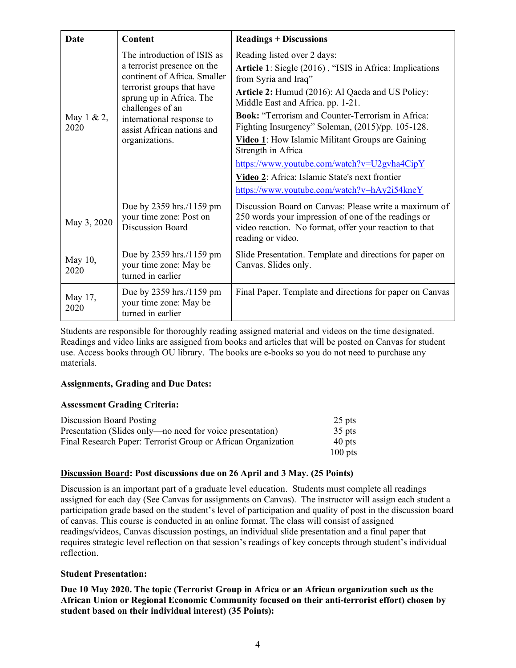| Date               | Content                                                                                                                                                                                                                                               | <b>Readings + Discussions</b>                                                                                                                                                               |
|--------------------|-------------------------------------------------------------------------------------------------------------------------------------------------------------------------------------------------------------------------------------------------------|---------------------------------------------------------------------------------------------------------------------------------------------------------------------------------------------|
| May 1 & 2,<br>2020 | The introduction of ISIS as<br>a terrorist presence on the<br>continent of Africa. Smaller<br>terrorist groups that have<br>sprung up in Africa. The<br>challenges of an<br>international response to<br>assist African nations and<br>organizations. | Reading listed over 2 days:                                                                                                                                                                 |
|                    |                                                                                                                                                                                                                                                       | Article 1: Siegle (2016), "ISIS in Africa: Implications<br>from Syria and Iraq"                                                                                                             |
|                    |                                                                                                                                                                                                                                                       | Article 2: Humud (2016): Al Qaeda and US Policy:<br>Middle East and Africa. pp. 1-21.                                                                                                       |
|                    |                                                                                                                                                                                                                                                       | <b>Book:</b> "Terrorism and Counter-Terrorism in Africa:<br>Fighting Insurgency" Soleman, (2015)/pp. 105-128.                                                                               |
|                    |                                                                                                                                                                                                                                                       | Video 1: How Islamic Militant Groups are Gaining<br>Strength in Africa                                                                                                                      |
|                    |                                                                                                                                                                                                                                                       | https://www.youtube.com/watch?v=U2gvha4CipY                                                                                                                                                 |
|                    |                                                                                                                                                                                                                                                       | Video 2: Africa: Islamic State's next frontier                                                                                                                                              |
|                    |                                                                                                                                                                                                                                                       | https://www.youtube.com/watch?v=hAy2i54kneY                                                                                                                                                 |
| May 3, 2020        | Due by 2359 hrs./1159 pm<br>your time zone: Post on<br><b>Discussion Board</b>                                                                                                                                                                        | Discussion Board on Canvas: Please write a maximum of<br>250 words your impression of one of the readings or<br>video reaction. No format, offer your reaction to that<br>reading or video. |
| May 10,<br>2020    | Due by 2359 hrs./1159 pm<br>your time zone: May be<br>turned in earlier                                                                                                                                                                               | Slide Presentation. Template and directions for paper on<br>Canvas. Slides only.                                                                                                            |
| May 17,<br>2020    | Due by 2359 hrs./1159 pm<br>your time zone: May be<br>turned in earlier                                                                                                                                                                               | Final Paper. Template and directions for paper on Canvas                                                                                                                                    |

Students are responsible for thoroughly reading assigned material and videos on the time designated. Readings and video links are assigned from books and articles that will be posted on Canvas for student use. Access books through OU library. The books are e-books so you do not need to purchase any materials.

### **Assignments, Grading and Due Dates:**

### **Assessment Grading Criteria:**

| Discussion Board Posting                                      | $25$ pts  |
|---------------------------------------------------------------|-----------|
| Presentation (Slides only—no need for voice presentation)     | $35$ pts  |
| Final Research Paper: Terrorist Group or African Organization | $40$ pts  |
|                                                               | $100$ pts |

# **Discussion Board: Post discussions due on 26 April and 3 May. (25 Points)**

Discussion is an important part of a graduate level education. Students must complete all readings assigned for each day (See Canvas for assignments on Canvas). The instructor will assign each student a participation grade based on the student's level of participation and quality of post in the discussion board of canvas. This course is conducted in an online format. The class will consist of assigned readings/videos, Canvas discussion postings, an individual slide presentation and a final paper that requires strategic level reflection on that session's readings of key concepts through student's individual reflection.

### **Student Presentation:**

**Due 10 May 2020. The topic (Terrorist Group in Africa or an African organization such as the African Union or Regional Economic Community focused on their anti-terrorist effort) chosen by student based on their individual interest) (35 Points):**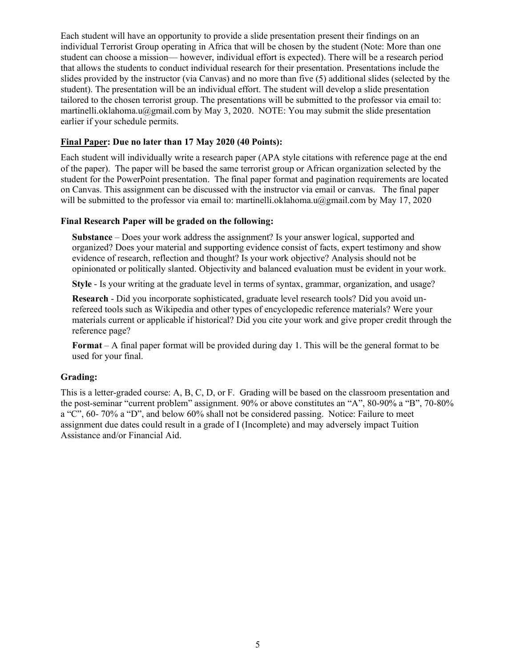Each student will have an opportunity to provide a slide presentation present their findings on an individual Terrorist Group operating in Africa that will be chosen by the student (Note: More than one student can choose a mission— however, individual effort is expected). There will be a research period that allows the students to conduct individual research for their presentation. Presentations include the slides provided by the instructor (via Canvas) and no more than five (5) additional slides (selected by the student). The presentation will be an individual effort. The student will develop a slide presentation tailored to the chosen terrorist group. The presentations will be submitted to the professor via email to: martinelli.oklahoma.u@gmail.com by May 3, 2020. NOTE: You may submit the slide presentation earlier if your schedule permits.

# **Final Paper: Due no later than 17 May 2020 (40 Points):**

Each student will individually write a research paper (APA style citations with reference page at the end of the paper). The paper will be based the same terrorist group or African organization selected by the student for the PowerPoint presentation. The final paper format and pagination requirements are located on Canvas. This assignment can be discussed with the instructor via email or canvas. The final paper will be submitted to the professor via email to: martinelli.oklahoma.u@gmail.com by May 17, 2020

# **Final Research Paper will be graded on the following:**

**Substance** – Does your work address the assignment? Is your answer logical, supported and organized? Does your material and supporting evidence consist of facts, expert testimony and show evidence of research, reflection and thought? Is your work objective? Analysis should not be opinionated or politically slanted. Objectivity and balanced evaluation must be evident in your work.

**Style** - Is your writing at the graduate level in terms of syntax, grammar, organization, and usage?

**Research** - Did you incorporate sophisticated, graduate level research tools? Did you avoid unrefereed tools such as Wikipedia and other types of encyclopedic reference materials? Were your materials current or applicable if historical? Did you cite your work and give proper credit through the reference page?

**Format** – A final paper format will be provided during day 1. This will be the general format to be used for your final.

### **Grading:**

This is a letter-graded course: A, B, C, D, or F. Grading will be based on the classroom presentation and the post-seminar "current problem" assignment. 90% or above constitutes an "A", 80-90% a "B", 70-80% a "C", 60- 70% a "D", and below 60% shall not be considered passing. Notice: Failure to meet assignment due dates could result in a grade of I (Incomplete) and may adversely impact Tuition Assistance and/or Financial Aid.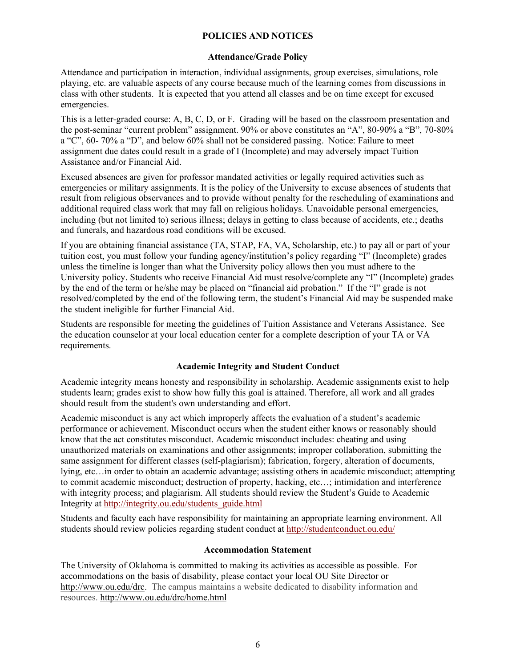# **POLICIES AND NOTICES**

### **Attendance/Grade Policy**

Attendance and participation in interaction, individual assignments, group exercises, simulations, role playing, etc. are valuable aspects of any course because much of the learning comes from discussions in class with other students. It is expected that you attend all classes and be on time except for excused emergencies.

This is a letter-graded course: A, B, C, D, or F. Grading will be based on the classroom presentation and the post-seminar "current problem" assignment. 90% or above constitutes an "A", 80-90% a "B", 70-80% a "C", 60- 70% a "D", and below 60% shall not be considered passing. Notice: Failure to meet assignment due dates could result in a grade of I (Incomplete) and may adversely impact Tuition Assistance and/or Financial Aid.

Excused absences are given for professor mandated activities or legally required activities such as emergencies or military assignments. It is the policy of the University to excuse absences of students that result from religious observances and to provide without penalty for the rescheduling of examinations and additional required class work that may fall on religious holidays. Unavoidable personal emergencies, including (but not limited to) serious illness; delays in getting to class because of accidents, etc.; deaths and funerals, and hazardous road conditions will be excused.

If you are obtaining financial assistance (TA, STAP, FA, VA, Scholarship, etc.) to pay all or part of your tuition cost, you must follow your funding agency/institution's policy regarding "I" (Incomplete) grades unless the timeline is longer than what the University policy allows then you must adhere to the University policy. Students who receive Financial Aid must resolve/complete any "I" (Incomplete) grades by the end of the term or he/she may be placed on "financial aid probation." If the "I" grade is not resolved/completed by the end of the following term, the student's Financial Aid may be suspended make the student ineligible for further Financial Aid.

Students are responsible for meeting the guidelines of Tuition Assistance and Veterans Assistance. See the education counselor at your local education center for a complete description of your TA or VA requirements.

# **Academic Integrity and Student Conduct**

Academic integrity means honesty and responsibility in scholarship. Academic assignments exist to help students learn; grades exist to show how fully this goal is attained. Therefore, all work and all grades should result from the student's own understanding and effort.

Academic misconduct is any act which improperly affects the evaluation of a student's academic performance or achievement. Misconduct occurs when the student either knows or reasonably should know that the act constitutes misconduct. Academic misconduct includes: cheating and using unauthorized materials on examinations and other assignments; improper collaboration, submitting the same assignment for different classes (self-plagiarism); fabrication, forgery, alteration of documents, lying, etc…in order to obtain an academic advantage; assisting others in academic misconduct; attempting to commit academic misconduct; destruction of property, hacking, etc…; intimidation and interference with integrity process; and plagiarism. All students should review the Student's Guide to Academic Integrity at [http://integrity.ou.edu/students\\_guide.html](http://integrity.ou.edu/students_guide.html)

Students and faculty each have responsibility for maintaining an appropriate learning environment. All students should review policies regarding student conduct at<http://studentconduct.ou.edu/>

### **Accommodation Statement**

The University of Oklahoma is committed to making its activities as accessible as possible. For accommodations on the basis of disability, please contact your local OU Site Director or [http://www.ou.edu/drc.](http://www.ou.edu/drc) The campus maintains a website dedicated to disability information and resources. <http://www.ou.edu/drc/home.html>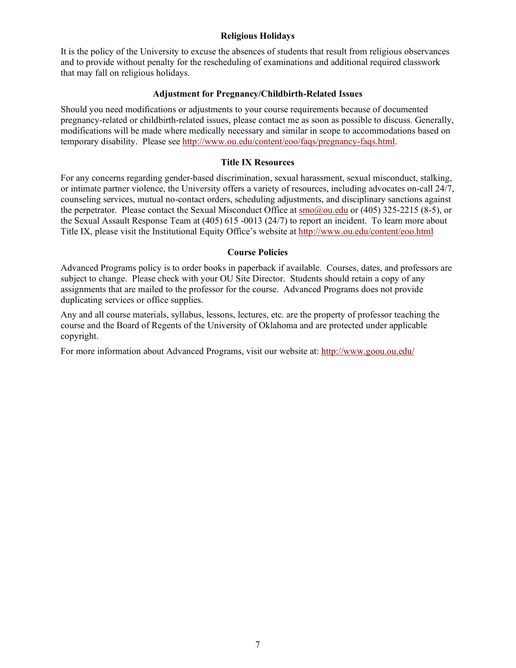### **Religious Holidays**

It is the policy of the University to excuse the absences of students that result from religious observances and to provide without penalty for the rescheduling of examinations and additional required classwork that may fall on religious holidays.

### **Adjustment for Pregnancy/Childbirth-Related Issues**

Should you need modifications or adjustments to your course requirements because of documented pregnancy-related or childbirth-related issues, please contact me as soon as possible to discuss. Generally, modifications will be made where medically necessary and similar in scope to accommodations based on temporary disability. Please see [http://www.ou.edu/content/eoo/faqs/pregnancy-faqs.html.](http://www.ou.edu/content/eoo/faqs/pregnancy-faqs.html)

### **Title IX Resources**

For any concerns regarding gender-based discrimination, sexual harassment, sexual misconduct, stalking, or intimate partner violence, the University offers a variety of resources, including advocates on-call 24/7, counseling services, mutual no-contact orders, scheduling adjustments, and disciplinary sanctions against the perpetrator. Please contact the Sexual Misconduct Office at [smo@ou.edu](mailto:smo@ou.edu) or (405) 325-2215 (8-5), or the Sexual Assault Response Team at (405) 615 -0013 (24/7) to report an incident. To learn more about Title IX, please visit the Institutional Equity Office's website at<http://www.ou.edu/content/eoo.html>

#### **Course Policies**

Advanced Programs policy is to order books in paperback if available. Courses, dates, and professors are subject to change. Please check with your OU Site Director. Students should retain a copy of any assignments that are mailed to the professor for the course. Advanced Programs does not provide duplicating services or office supplies.

Any and all course materials, syllabus, lessons, lectures, etc. are the property of professor teaching the course and the Board of Regents of the University of Oklahoma and are protected under applicable copyright.

For more information about Advanced Programs, visit our website at:<http://www.goou.ou.edu/>